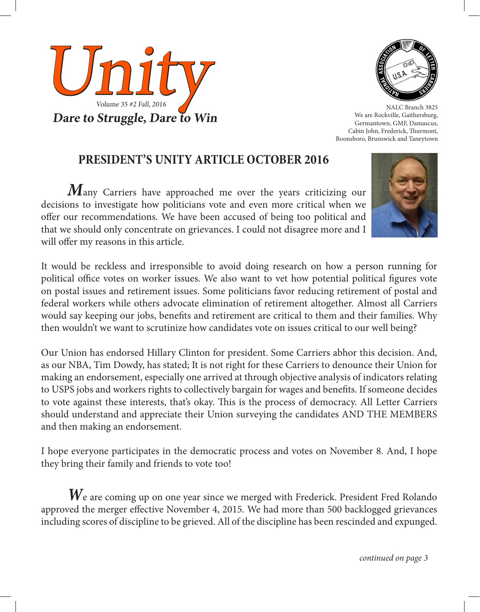



NALC Branch 3825 We are Rockville, Gaithersburg, Germantown, GMF, Damascus, Cabin John, Frederick, Thurmont, Boonsboro, Brunswick and Taneytown

# **PRESIDENT'S UNITY ARTICLE OCTOBER 2016**

*M*any Carriers have approached me over the years criticizing our decisions to investigate how politicians vote and even more critical when we offer our recommendations. We have been accused of being too political and that we should only concentrate on grievances. I could not disagree more and I will offer my reasons in this article.



It would be reckless and irresponsible to avoid doing research on how a person running for political office votes on worker issues. We also want to vet how potential political figures vote on postal issues and retirement issues. Some politicians favor reducing retirement of postal and federal workers while others advocate elimination of retirement altogether. Almost all Carriers would say keeping our jobs, benefits and retirement are critical to them and their families. Why then wouldn't we want to scrutinize how candidates vote on issues critical to our well being?

Our Union has endorsed Hillary Clinton for president. Some Carriers abhor this decision. And, as our NBA, Tim Dowdy, has stated; It is not right for these Carriers to denounce their Union for making an endorsement, especially one arrived at through objective analysis of indicators relating to USPS jobs and workers rights to collectively bargain for wages and benefits. If someone decides to vote against these interests, that's okay. This is the process of democracy. All Letter Carriers should understand and appreciate their Union surveying the candidates AND THE MEMBERS and then making an endorsement.

I hope everyone participates in the democratic process and votes on November 8. And, I hope they bring their family and friends to vote too!

 $\boldsymbol{W}$ e are coming up on one year since we merged with Frederick. President Fred Rolando approved the merger effective November 4, 2015. We had more than 500 backlogged grievances including scores of discipline to be grieved. All of the discipline has been rescinded and expunged.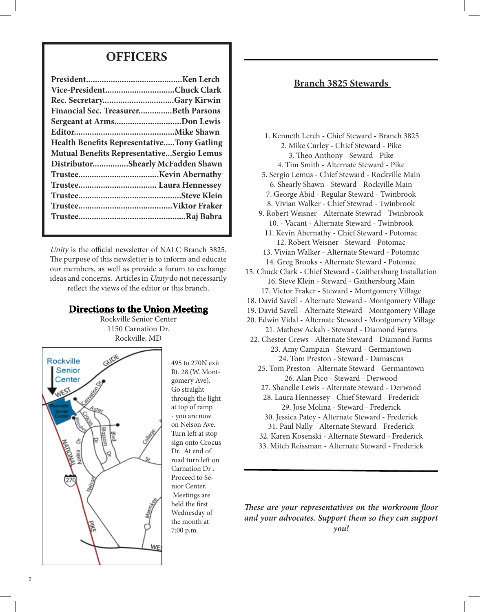# **OFFICERS**

| Vice-PresidentChuck Clark                         |  |
|---------------------------------------------------|--|
| Rec. SecretaryGary Kirwin                         |  |
| Financial Sec. TreasurerBeth Parsons              |  |
| Sergeant at ArmsDon Lewis                         |  |
|                                                   |  |
| <b>Health Benefits RepresentativeTony Gatling</b> |  |
| <b>Mutual Benefits RepresentativeSergio Lemus</b> |  |
| DistributorShearly McFadden Shawn                 |  |
|                                                   |  |
|                                                   |  |
|                                                   |  |
|                                                   |  |
|                                                   |  |
|                                                   |  |

Unity is the official newsletter of NALC Branch 3825. The purpose of this newsletter is to inform and educate our members, as well as provide a forum to exchange ideas and concerns. Articles in Unity do not necessarily reflect the views of the editor or this branch.

## **Directions to the Union Meeting**

Rockville Senior Center 1150 Carnation Dr. Rockville, MD



495 to 270N exit Rt. 28 (W. Montgomery Ave). Go straight through the light at top of ramp - you are now on Nelson Ave. Turn left at stop sign onto Crocus Dr. At end of road turn left on Carnation Dr . Proceed to Senior Center. Meetings are held the first Wednesday of the month at 7:00 p.m.

## **Branch 3825 Stewards**

- 1. Kenneth Lerch Chief Steward Branch 3825 2. Mike Curley - Chief Steward - Pike 3. Theo Anthony - Seward - Pike 4. Tim Smith - Alternate Steward - Pike
- 5. Sergio Lemus Chief Steward Rockville Main
- 6. Shearly Shawn Steward Rockville Main 7. George Abid - Regular Steward - Twinbrook 8. Vivian Walker - Chief Stewrad - Twinbrook
- 9. Robert Weisner Alternate Stewrad Twinbrook 10. - Vacant - Alternate Steward - Twinbrook
	- 11. Kevin Abernathy Chief Steward Potomac 12. Robert Weisner - Steward - Potomac
- 13. Vivian Walker Alternate Steward Potomac 14. Greg Brooks - Alternate Steward - Potomac
- 15. Chuck Clark Chief Steward Gaithersburg Installation 16. Steve Klein - Steward - Gaithersburg Main 17. Victor Fraker - Steward - Montgomery Village
- 18. David Savell Alternate Steward Montgomery Village
- 19. David Savell Alternate Steward Montgomery Village
- 20. Edwin Vidal Alternate Steward Montgomery Village 21. Mathew Ackah - Steward - Diamond Farms
- 22. Chester Crews Alternate Steward Diamond Farms 23. Amy Campain - Steward - Germantown 24. Tom Preston - Steward - Damascus
	- 25. Tom Preston Alternate Steward Germantown 26. Alan Pico - Steward - Derwood
	- 27. Shanelle Lewis Alternate Steward Derwood
	- 28. Laura Hennessey Chief Steward Frederick 29. Jose Molina - Steward - Frederick
	- 30. Jessica Patey Alternate Steward Frederick
	- 31. Paul Nally Alternate Steward Frederick
	- 32. Karen Kosenski Alternate Steward Frederick
	- 33. Mitch Reissman Alternate Steward Frederick

## *These are your representatives on the workroom floor and your advocates. Support them so they can support you!*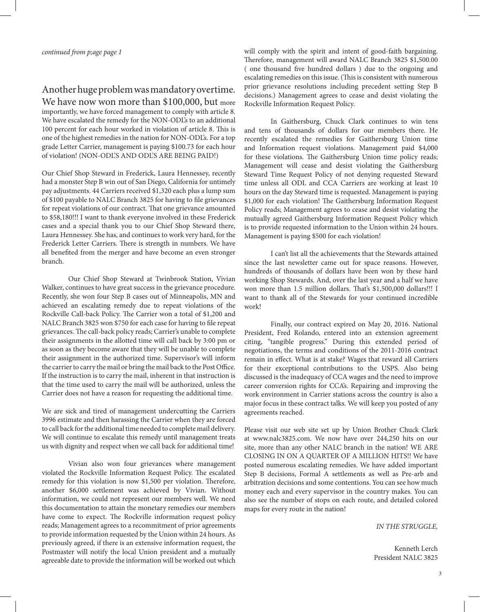# Another huge problem was mandatory overtime.

We have now won more than \$100,000, but more importantly, we have forced management to comply with article 8. We have escalated the remedy for the NON-ODL's to an additional 100 percent for each hour worked in violation of article 8. This is one of the highest remedies in the nation for NON-ODL's. For a top grade Letter Carrier, management is paying \$100.73 for each hour of violation! (NON-ODL'S AND ODL'S ARE BEING PAID!)

Our Chief Shop Steward in Frederick, Laura Hennessey, recently had a monster Step B win out of San Diego, California for untimely pay adjustments. 44 Carriers received \$1,320 each plus a lump sum of \$100 payable to NALC Branch 3825 for having to file grievances for repeat violations of our contract. That one grievance amounted to \$58,180!!! I want to thank everyone involved in these Frederick cases and a special thank you to our Chief Shop Steward there, Laura Hennessey. She has, and continues to work very hard, for the Frederick Letter Carriers. There is strength in numbers. We have all benefited from the merger and have become an even stronger branch.

Our Chief Shop Steward at Twinbrook Station, Vivian Walker, continues to have great success in the grievance procedure. Recently, she won four Step B cases out of Minneapolis, MN and achieved an escalating remedy due to repeat violations of the Rockville Call-back Policy. The Carrier won a total of \$1,200 and NALC Branch 3825 won \$750 for each case for having to file repeat grievances. The call-back policy reads; Carrier's unable to complete their assignments in the allotted time will call back by 3:00 pm or as soon as they become aware that they will be unable to complete their assignment in the authorized time. Supervisor's will inform the carrier to carry the mail or bring the mail back to the Post Office. If the instruction is to carry the mail, inherent in that instruction is that the time used to carry the mail will be authorized, unless the Carrier does not have a reason for requesting the additional time.

We are sick and tired of management undercutting the Carriers 3996 estimate and then harassing the Carrier when they are forced to call back for the additional time needed to complete mail delivery. We will continue to escalate this remedy until management treats us with dignity and respect when we call back for additional time!

Vivian also won four grievances where management violated the Rockville Information Request Policy. The escalated remedy for this violation is now \$1,500 per violation. Therefore, another \$6,000 settlement was achieved by Vivian. Without information, we could not represent our members well. We need this documentation to attain the monetary remedies our members have come to expect. The Rockville information request policy reads; Management agrees to a recommitment of prior agreements to provide information requested by the Union within 24 hours. As previously agreed, if there is an extensive information request, the Postmaster will notify the local Union president and a mutually agreeable date to provide the information will be worked out which

will comply with the spirit and intent of good-faith bargaining. Therefore, management will award NALC Branch 3825 \$1,500.00 ( one thousand five hundred dollars ) due to the ongoing and escalating remedies on this issue. (This is consistent with numerous prior grievance resolutions including precedent setting Step B decisions.) Management agrees to cease and desist violating the Rockville Information Request Policy.

In Gaithersburg, Chuck Clark continues to win tens and tens of thousands of dollars for our members there. He recently escalated the remedies for Gaithersburg Union time and Information request violations. Management paid \$4,000 for these violations. The Gaithersburg Union time policy reads; Management will cease and desist violating the Gaithersburg Steward Time Request Policy of not denying requested Steward time unless all ODL and CCA Carriers are working at least 10 hours on the day Steward time is requested. Management is paying \$1,000 for each violation! The Gaithersburg Information Request Policy reads; Management agrees to cease and desist violating the mutually agreed Gaithersburg Information Request Policy which is to provide requested information to the Union within 24 hours. Management is paying \$500 for each violation!

I can't list all the achievements that the Stewards attained since the last newsletter came out for space reasons. However, hundreds of thousands of dollars have been won by these hard working Shop Stewards. And, over the last year and a half we have won more than 1.5 million dollars. That's \$1,500,000 dollars!!! I want to thank all of the Stewards for your continued incredible work!

Finally, our contract expired on May 20, 2016. National President, Fred Rolando, entered into an extension agreement citing, "tangible progress." During this extended period of negotiations, the terms and conditions of the 2011-2016 contract remain in effect. What is at stake? Wages that reward all Carriers for their exceptional contributions to the USPS. Also being discussed is the inadequacy of CCA wages and the need to improve career conversion rights for CCA's. Repairing and improving the work environment in Carrier stations across the country is also a major focus in these contract talks. We will keep you posted of any agreements reached.

Please visit our web site set up by Union Brother Chuck Clark at www.nalc3825.com. We now have over 244,250 hits on our site, more than any other NALC branch in the nation! WE ARE CLOSING IN ON A QUARTER OF A MILLION HITS!! We have posted numerous escalating remedies. We have added important Step B decisions, Formal A settlements as well as Pre-arb and arbitration decisions and some contentions. You can see how much money each and every supervisor in the country makes. You can also see the number of stops on each route, and detailed colored maps for every route in the nation!

*IN THE STRUGGLE,*

Kenneth Lerch President NALC 3825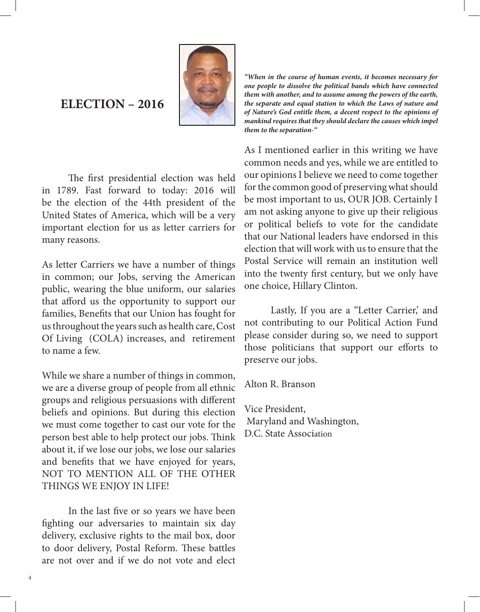# **ELECTION – 2016**



The first presidential election was held in 1789. Fast forward to today: 2016 will be the election of the 44th president of the United States of America, which will be a very important election for us as letter carriers for many reasons.

As letter Carriers we have a number of things in common; our Jobs, serving the American public, wearing the blue uniform, our salaries that afford us the opportunity to support our families, Benefits that our Union has fought for us throughout the years such as health care, Cost Of Living (COLA) increases, and retirement to name a few.

While we share a number of things in common, we are a diverse group of people from all ethnic groups and religious persuasions with different beliefs and opinions. But during this election we must come together to cast our vote for the person best able to help protect our jobs. Think about it, if we lose our jobs, we lose our salaries and benefits that we have enjoyed for years, NOT TO MENTION ALL OF THE OTHER THINGS WE ENJOY IN LIFE!

In the last five or so years we have been fighting our adversaries to maintain six day delivery, exclusive rights to the mail box, door to door delivery, Postal Reform. These battles are not over and if we do not vote and elect

4

*"When in the course of human events, it becomes necessary for one people to dissolve the political bands which have connected them with another, and to assume among the powers of the earth, the separate and equal station to which the Laws of nature and of Nature's God entitle them, a decent respect to the opinions of mankind requires that they should declare the causes which impel them to the separation-"*

As I mentioned earlier in this writing we have common needs and yes, while we are entitled to our opinions I believe we need to come together for the common good of preserving what should be most important to us, OUR JOB. Certainly I am not asking anyone to give up their religious or political beliefs to vote for the candidate that our National leaders have endorsed in this election that will work with us to ensure that the Postal Service will remain an institution well into the twenty first century, but we only have one choice, Hillary Clinton.

Lastly, If you are a "Letter Carrier, and not contributing to our Political Action Fund please consider during so, we need to support those politicians that support our efforts to preserve our jobs.

Alton R. Branson

Vice President, Maryland and Washington, D.C. State Association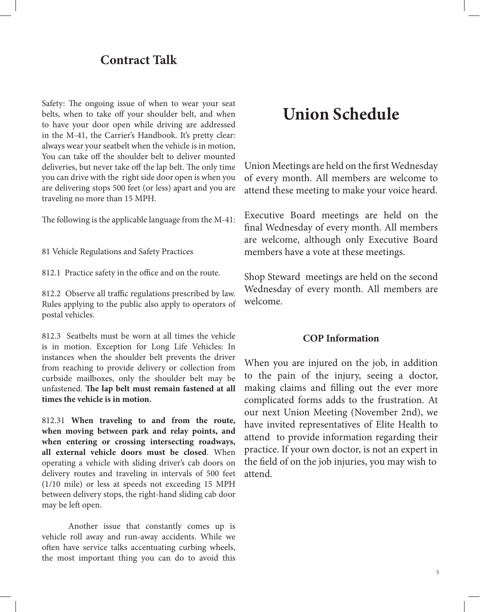# **Contract Talk**

Safety: The ongoing issue of when to wear your seat belts, when to take off your shoulder belt, and when to have your door open while driving are addressed in the M-41, the Carrier's Handbook. It's pretty clear: always wear your seatbelt when the vehicle is in motion, You can take off the shoulder belt to deliver mounted deliveries, but never take off the lap belt. The only time you can drive with the right side door open is when you are delivering stops 500 feet (or less) apart and you are traveling no more than 15 MPH.

The following is the applicable language from the M-41:

81 Vehicle Regulations and Safety Practices

812.1 Practice safety in the office and on the route.

812.2 Observe all traffic regulations prescribed by law. Rules applying to the public also apply to operators of postal vehicles.

812.3 Seatbelts must be worn at all times the vehicle is in motion. Exception for Long Life Vehicles: In instances when the shoulder belt prevents the driver from reaching to provide delivery or collection from curbside mailboxes, only the shoulder belt may be unfastened. **The lap belt must remain fastened at all times the vehicle is in motion.**

812.31 **When traveling to and from the route, when moving between park and relay points, and when entering or crossing intersecting roadways, all external vehicle doors must be closed**. When operating a vehicle with sliding driver's cab doors on delivery routes and traveling in intervals of 500 feet (1/10 mile) or less at speeds not exceeding 15 MPH between delivery stops, the right-hand sliding cab door may be left open.

Another issue that constantly comes up is vehicle roll away and run-away accidents. While we often have service talks accentuating curbing wheels, the most important thing you can do to avoid this

# **Union Schedule**

Union Meetings are held on the first Wednesday of every month. All members are welcome to attend these meeting to make your voice heard.

Executive Board meetings are held on the final Wednesday of every month. All members are welcome, although only Executive Board members have a vote at these meetings.

Shop Steward meetings are held on the second Wednesday of every month. All members are welcome.

## **COP Information**

When you are injured on the job, in addition to the pain of the injury, seeing a doctor, making claims and filling out the ever more complicated forms adds to the frustration. At our next Union Meeting (November 2nd), we have invited representatives of Elite Health to attend to provide information regarding their practice. If your own doctor, is not an expert in the field of on the job injuries, you may wish to attend.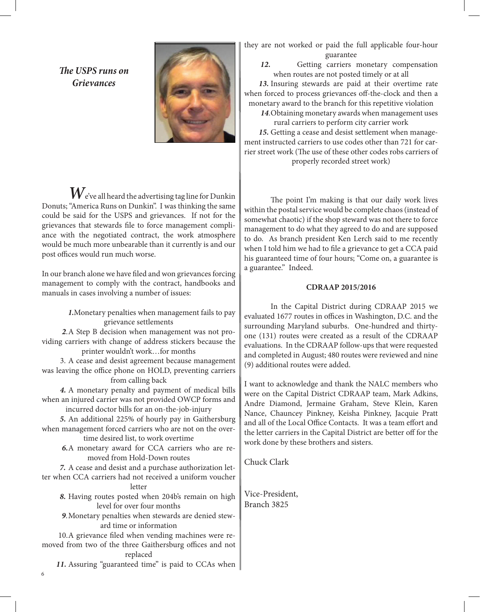*The USPS runs on Grievances*



 $\boldsymbol{W}$ e've all heard the advertising tag line for Dunkin Donuts; "America Runs on Dunkin". I was thinking the same could be said for the USPS and grievances. If not for the grievances that stewards file to force management compliance with the negotiated contract, the work atmosphere would be much more unbearable than it currently is and our post offices would run much worse.

In our branch alone we have filed and won grievances forcing management to comply with the contract, handbooks and manuals in cases involving a number of issues:

> *1.*Monetary penalties when management fails to pay grievance settlements

 *2*.A Step B decision when management was not providing carriers with change of address stickers because the printer wouldn't work…for months

 3. A cease and desist agreement because management was leaving the office phone on HOLD, preventing carriers from calling back

 *4.* A monetary penalty and payment of medical bills when an injured carrier was not provided OWCP forms and incurred doctor bills for an on-the-job-injury

 *5.* An additional 225% of hourly pay in Gaithersburg when management forced carriers who are not on the over-

time desired list, to work overtime *6.*A monetary award for CCA carriers who are re-

moved from Hold-Down routes

 *7.* A cease and desist and a purchase authorization letter when CCA carriers had not received a uniform voucher letter

 *8.* Having routes posted when 204b's remain on high level for over four months

 *9*.Monetary penalties when stewards are denied steward time or information

 10.A grievance filed when vending machines were removed from two of the three Gaithersburg offices and not replaced

11. Assuring "guaranteed time" is paid to CCAs when

they are not worked or paid the full applicable four-hour guarantee

 *12.* Getting carriers monetary compensation when routes are not posted timely or at all

 *13.* Insuring stewards are paid at their overtime rate when forced to process grievances off-the-clock and then a monetary award to the branch for this repetitive violation

 *14*.Obtaining monetary awards when management uses rural carriers to perform city carrier work

 *15.* Getting a cease and desist settlement when management instructed carriers to use codes other than 721 for carrier street work (The use of these other codes robs carriers of properly recorded street work)

The point I'm making is that our daily work lives within the postal service would be complete chaos (instead of somewhat chaotic) if the shop steward was not there to force management to do what they agreed to do and are supposed to do. As branch president Ken Lerch said to me recently when I told him we had to file a grievance to get a CCA paid his guaranteed time of four hours; "Come on, a guarantee is a guarantee." Indeed.

### **CDRAAP 2015/2016**

In the Capital District during CDRAAP 2015 we evaluated 1677 routes in offices in Washington, D.C. and the surrounding Maryland suburbs. One-hundred and thirtyone (131) routes were created as a result of the CDRAAP evaluations. In the CDRAAP follow-ups that were requested and completed in August; 480 routes were reviewed and nine (9) additional routes were added.

I want to acknowledge and thank the NALC members who were on the Capital District CDRAAP team, Mark Adkins, Andre Diamond, Jermaine Graham, Steve Klein, Karen Nance, Chauncey Pinkney, Keisha Pinkney, Jacquie Pratt and all of the Local Office Contacts. It was a team effort and the letter carriers in the Capital District are better off for the work done by these brothers and sisters.

Chuck Clark

Vice-President, Branch 3825

6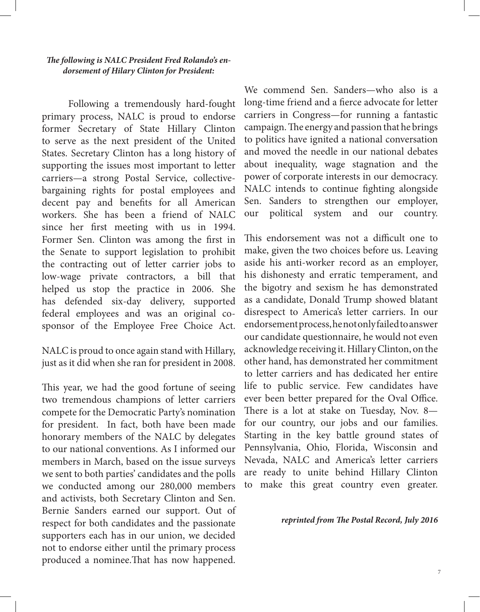### *The following is NALC President Fred Rolando's endorsement of Hilary Clinton for President:*

Following a tremendously hard-fought primary process, NALC is proud to endorse former Secretary of State Hillary Clinton to serve as the next president of the United States. Secretary Clinton has a long history of supporting the issues most important to letter carriers—a strong Postal Service, collectivebargaining rights for postal employees and decent pay and benefits for all American workers. She has been a friend of NALC since her first meeting with us in 1994. Former Sen. Clinton was among the first in the Senate to support legislation to prohibit the contracting out of letter carrier jobs to low-wage private contractors, a bill that helped us stop the practice in 2006. She has defended six-day delivery, supported federal employees and was an original cosponsor of the Employee Free Choice Act.

NALC is proud to once again stand with Hillary, just as it did when she ran for president in 2008.

This year, we had the good fortune of seeing two tremendous champions of letter carriers compete for the Democratic Party's nomination for president. In fact, both have been made honorary members of the NALC by delegates to our national conventions. As I informed our members in March, based on the issue surveys we sent to both parties' candidates and the polls we conducted among our 280,000 members and activists, both Secretary Clinton and Sen. Bernie Sanders earned our support. Out of respect for both candidates and the passionate supporters each has in our union, we decided not to endorse either until the primary process produced a nominee.That has now happened.

We commend Sen. Sanders—who also is a long-time friend and a fierce advocate for letter carriers in Congress—for running a fantastic campaign. The energy and passion that he brings to politics have ignited a national conversation and moved the needle in our national debates about inequality, wage stagnation and the power of corporate interests in our democracy. NALC intends to continue fighting alongside Sen. Sanders to strengthen our employer, our political system and our country.

This endorsement was not a difficult one to make, given the two choices before us. Leaving aside his anti-worker record as an employer, his dishonesty and erratic temperament, and the bigotry and sexism he has demonstrated as a candidate, Donald Trump showed blatant disrespect to America's letter carriers. In our endorsement process, he not only failed to answer our candidate questionnaire, he would not even acknowledge receiving it. Hillary Clinton, on the other hand, has demonstrated her commitment to letter carriers and has dedicated her entire life to public service. Few candidates have ever been better prepared for the Oval Office. There is a lot at stake on Tuesday, Nov. 8 for our country, our jobs and our families. Starting in the key battle ground states of Pennsylvania, Ohio, Florida, Wisconsin and Nevada, NALC and America's letter carriers are ready to unite behind Hillary Clinton to make this great country even greater.

#### *reprinted from The Postal Record, July 2016*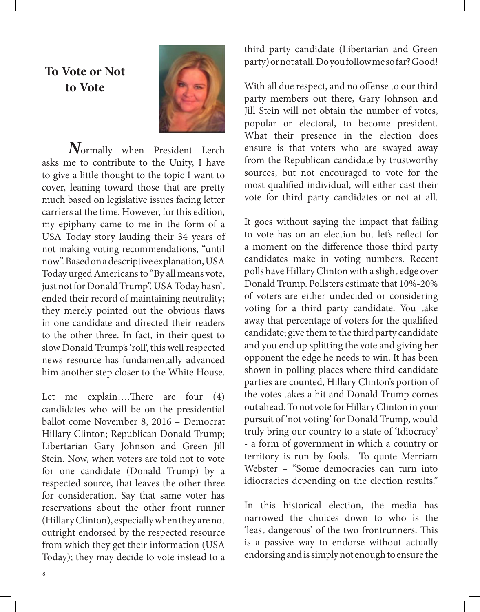# **To Vote or Not to Vote**



*N*ormally when President Lerch asks me to contribute to the Unity, I have to give a little thought to the topic I want to cover, leaning toward those that are pretty much based on legislative issues facing letter carriers at the time. However, for this edition, my epiphany came to me in the form of a USA Today story lauding their 34 years of not making voting recommendations, "until now". Based on a descriptive explanation, USA Today urged Americans to "By all means vote, just not for Donald Trump". USA Today hasn't ended their record of maintaining neutrality; they merely pointed out the obvious flaws in one candidate and directed their readers to the other three. In fact, in their quest to slow Donald Trump's 'roll', this well respected news resource has fundamentally advanced him another step closer to the White House.

Let me explain….There are four (4) candidates who will be on the presidential ballot come November 8, 2016 – Democrat Hillary Clinton; Republican Donald Trump; Libertarian Gary Johnson and Green Jill Stein. Now, when voters are told not to vote for one candidate (Donald Trump) by a respected source, that leaves the other three for consideration. Say that same voter has reservations about the other front runner (Hillary Clinton), especially when they are not outright endorsed by the respected resource from which they get their information (USA Today); they may decide to vote instead to a

third party candidate (Libertarian and Green party) or not at all. Do you follow me so far? Good!

With all due respect, and no offense to our third party members out there, Gary Johnson and Jill Stein will not obtain the number of votes, popular or electoral, to become president. What their presence in the election does ensure is that voters who are swayed away from the Republican candidate by trustworthy sources, but not encouraged to vote for the most qualified individual, will either cast their vote for third party candidates or not at all.

It goes without saying the impact that failing to vote has on an election but let's reflect for a moment on the difference those third party candidates make in voting numbers. Recent polls have Hillary Clinton with a slight edge over Donald Trump. Pollsters estimate that 10%-20% of voters are either undecided or considering voting for a third party candidate. You take away that percentage of voters for the qualified candidate; give them to the third party candidate and you end up splitting the vote and giving her opponent the edge he needs to win. It has been shown in polling places where third candidate parties are counted, Hillary Clinton's portion of the votes takes a hit and Donald Trump comes out ahead. To not vote for Hillary Clinton in your pursuit of 'not voting' for Donald Trump, would truly bring our country to a state of 'Idiocracy' - a form of government in which a country or territory is run by fools. To quote Merriam Webster – "Some democracies can turn into idiocracies depending on the election results."

In this historical election, the media has narrowed the choices down to who is the 'least dangerous' of the two frontrunners. This is a passive way to endorse without actually endorsing and is simply not enough to ensure the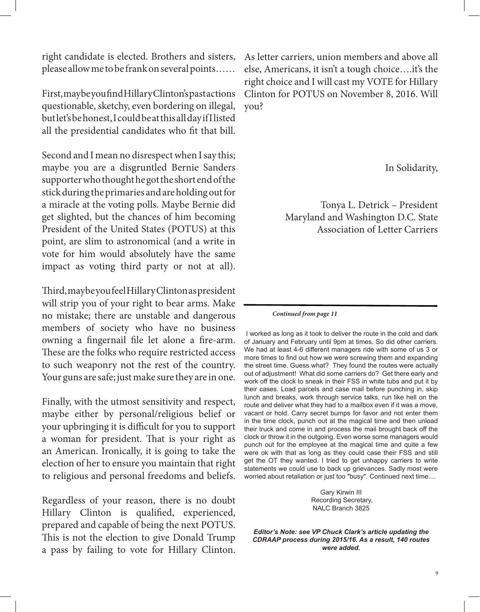right candidate is elected. Brothers and sisters, please allow me to be frank on several points……

First, maybe you find Hillary Clinton's past actions questionable, sketchy, even bordering on illegal, but let's be honest, I could be at this all day if I listed all the presidential candidates who fit that bill.

Second and I mean no disrespect when I say this; maybe you are a disgruntled Bernie Sanders supporter who thought he got the short end of the stick during the primaries and are holding out for a miracle at the voting polls. Maybe Bernie did get slighted, but the chances of him becoming President of the United States (POTUS) at this point, are slim to astronomical (and a write in vote for him would absolutely have the same impact as voting third party or not at all).

Third, maybe you feel Hillary Clinton as president will strip you of your right to bear arms. Make no mistake; there are unstable and dangerous members of society who have no business owning a fingernail file let alone a fire-arm. These are the folks who require restricted access to such weaponry not the rest of the country. Your guns are safe; just make sure they are in one.

Finally, with the utmost sensitivity and respect, maybe either by personal/religious belief or your upbringing it is difficult for you to support a woman for president. That is your right as an American. Ironically, it is going to take the election of her to ensure you maintain that right to religious and personal freedoms and beliefs.

Regardless of your reason, there is no doubt Hillary Clinton is qualified, experienced, prepared and capable of being the next POTUS. This is not the election to give Donald Trump a pass by failing to vote for Hillary Clinton.

As letter carriers, union members and above all else, Americans, it isn't a tough choice….it's the right choice and I will cast my VOTE for Hillary Clinton for POTUS on November 8, 2016. Will you?

In Solidarity,

Tonya L. Detrick – President Maryland and Washington D.C. State Association of Letter Carriers

#### *Continued from page 11*

 I worked as long as it took to deliver the route in the cold and dark of January and February until 9pm at times. So did other carriers. We had at least 4-6 different managers ride with some of us 3 or more times to find out how we were screwing them and expanding the street time. Guess what? They found the routes were actually out of adjustment! What did some carriers do? Get there early and work off the clock to sneak in their FSS in white tubs and put it by their cases. Load parcels and case mail before punching in, skip lunch and breaks, work through service talks, run like hell on the route and deliver what they had to a mailbox even if it was a move, vacant or hold. Carry secret bumps for favor and not enter them in the time clock, punch out at the magical time and then unload their truck and come in and process the mail brought back off the clock or throw it in the outgoing. Even worse some managers would punch out for the employee at the magical time and quite a few were ok with that as long as they could case their FSS and still get the OT they wanted. I tried to get unhappy carriers to write statements we could use to back up grievances. Sadly most were worried about retaliation or just too "busy". Continued next time....

> Gary Kirwin III Recording Secretary, NALC Branch 3825

*Editor's Note: see VP Chuck Clark's article updating the CDRAAP process during 2015/16. As a result, 140 routes were added.*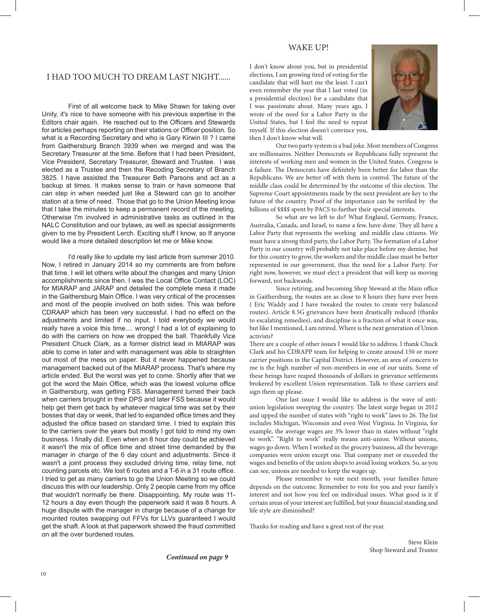### WAKE UP!

#### I HAD TOO MUCH TO DREAM LAST NIGHT......

First of all welcome back to Mike Shawn for taking over Unity, it's nice to have someone with his previous expertise in the Editors chair again. He reached out to the Officers and Stewards for articles perhaps reporting on their stations or Officer position. So what is a Recording Secretary and who is Gary Kirwin III ? I came from Gaithersburg Branch 3939 when we merged and was the Secretary Treasurer at the time. Before that I had been President, Vice President, Secretary Treasurer, Steward and Trustee. I was elected as a Trustee and then the Recoding Secretary of Branch 3825. I have assisted the Treasurer Beth Parsons and act as a backup at times. It makes sense to train or have someone that can step in when needed just like a Steward can go to another station at a time of need. Those that go to the Union Meeting know that I take the minutes to keep a permanent record of the meeting. Otherwise I'm involved in administrative tasks as outlined in the NALC Constitution and our bylaws, as well as special assignments given to me by President Lerch. Exciting stuff I know, so If anyone would like a more detailed description let me or Mike know.

I'd really like to update my last article from summer 2010. Now, I retired in January 2014 so my comments are from before that time. I will let others write about the changes and many Union accomplishments since then. I was the Local Office Contact (LOC) for MIARAP and JARAP and detailed the complete mess it made in the Gaithersburg Main Office. I was very critical of the processes and most of the people involved on both sides. This was before CDRAAP which has been very successful. I had no effect on the adjustments and limited if no input. I told everybody we would really have a voice this time.... wrong! I had a lot of explaining to do with the carriers on how we dropped the ball. Thankfully Vice President Chuck Clark, as a former district lead in MIARAP was able to come in later and with management was able to straighten out most of the mess on paper. But it never happened because management backed out of the MIARAP process. That's where my article ended. But the worst was yet to come. Shortly after that we got the word the Main Office, which was the lowest volume office in Gaithersburg, was getting FSS. Management turned their back when carriers brought in their DPS and later FSS because it would help get them get back by whatever magical time was set by their bosses that day or week, that led to expanded office times and they adjusted the office based on standard time. I tried to explain this to the carriers over the years but mostly I got told to mind my own business. I finally did. Even when an 8 hour day could be achieved it wasn't the mix of office time and street time demanded by the manager in charge of the 6 day count and adjustments. Since it wasn't a joint process they excluded driving time, relay time, not counting parcels etc. We lost 6 routes and a T-6 in a 31 route office. I tried to get as many carriers to go the Union Meeting so we could discuss this with our leadership. Only 2 people came from my office that wouldn't normally be there. Disappointing. My route was 11- 12 hours a day even though the paperwork said it was 8 hours. A huge dispute with the manager in charge because of a change for mounted routes swapping out FFVs for LLVs guaranteed I would get the shaft. A look at that paperwork showed the fraud committed on all the over burdened routes.

I don't know about you, but in presidential elections, I am growing tired of voting for the candidate that will hurt me the least. I can't even remember the year that I last voted (in a presidential election) for a candidate that I was passionate about. Many years ago, I wrote of the need for a Labor Party in the United States, but I feel the need to repeat myself. If this election doesn't convince you, then I don't know what will.



Our two party system is a bad joke. Most members of Congress are millionaires. Neither Democrats or Republicans fully represent the interests of working men and women in the United States. Congress is a failure. The Democrats have definitely been better for labor than the Republicans. We are better off with them in control. The future of the middle class could be determined by the outcome of this election. The Supreme Court appointments made by the next president are key to the future of the country. Proof of the importance can be verified by the billions of \$\$\$\$ spent by PACS to further their special interests.

So what are we left to do? What England, Germany, France, Australia, Canada, and Israel, to name a few, have done. They all have a Labor Party that represents the working and middle class citizens. We must have a strong third party, the Labor Party. The formation of a Labor Party in our country will probably not take place before my demise, but for this country to grow, the workers and the middle class must be better represented in our government, thus the need for a Labor Party. For right now, however, we must elect a president that will keep us moving forward, not backwards.

Since retiring, and becoming Shop Steward at the Main office in Gaithersburg, the routes are as close to 8 hours they have ever been ( Eric Waddy and I have tweaked the routes to create very balanced routes). Article 8.5G grievances have been drastically reduced (thanks to escalating remedies), and discipline is a fraction of what it once was, but like I mentioned, I am retired. Where is the next generation of Union activists?

There are a couple of other issues I would like to address. I thank Chuck Clark and his CDRAPP team for helping to create around 150 or more carrier positions in the Capital District. However, an area of concern to me is the high number of non-members in one of our units. Some of these beings have reaped thousands of dollars in grievance settlements brokered by excellent Union representation. Talk to these carriers and sign them up please.

One last issue I would like to address is the wave of antiunion legislation sweeping the country. The latest surge began in 2012 and upped the number of states with "right to work" laws to 26. The list includes Michigan, Wisconsin and even West Virginia. In Virginia, for example, the average wages are 3% lower than in states without "right to work". "Right to work" really means anti-union. Without unions, wages go down. When I worked in the grocery business, all the beverage companies were union except one. That company met or exceeded the wages and benefits of the union shops to avoid losing workers. So, as you can see, unions are needed to keep the wages up.

Please remember to vote next month, your families future depends on the outcome. Remember to vote for you and your family's interest and not how you feel on individual issues. What good is it if certain areas of your interest are fulfilled, but your financial standing and life style are diminished?

Thanks for reading and have a great rest of the year.

Steve Klein Shop Steward and Trustee

 *Continued on page 9*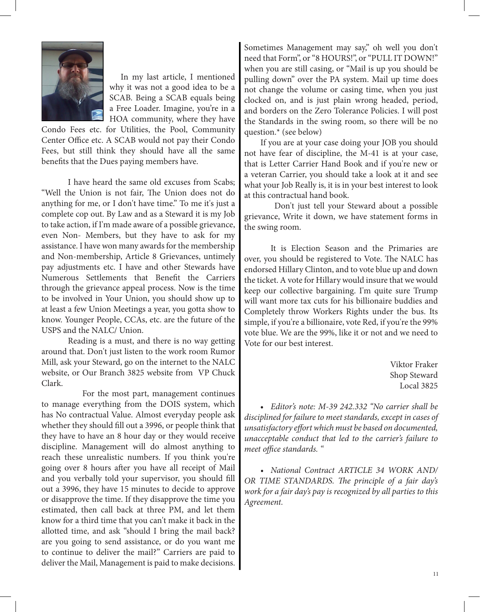

In my last article, I mentioned why it was not a good idea to be a SCAB. Being a SCAB equals being a Free Loader. Imagine, you're in a HOA community, where they have

Condo Fees etc. for Utilities, the Pool, Community Center Office etc. A SCAB would not pay their Condo Fees, but still think they should have all the same benefits that the Dues paying members have.

I have heard the same old excuses from Scabs; "Well the Union is not fair, The Union does not do anything for me, or I don't have time." To me it's just a complete cop out. By Law and as a Steward it is my Job to take action, if I'm made aware of a possible grievance, even Non- Members, but they have to ask for my assistance. I have won many awards for the membership and Non-membership, Article 8 Grievances, untimely pay adjustments etc. I have and other Stewards have Numerous Settlements that Benefit the Carriers through the grievance appeal process. Now is the time to be involved in Your Union, you should show up to at least a few Union Meetings a year, you gotta show to know. Younger People, CCAs, etc. are the future of the USPS and the NALC/ Union.

Reading is a must, and there is no way getting around that. Don't just listen to the work room Rumor Mill, ask your Steward, go on the internet to the NALC website, or Our Branch 3825 website from VP Chuck Clark.

 For the most part, management continues to manage everything from the DOIS system, which has No contractual Value. Almost everyday people ask whether they should fill out a 3996, or people think that they have to have an 8 hour day or they would receive discipline. Management will do almost anything to reach these unrealistic numbers. If you think you're going over 8 hours after you have all receipt of Mail and you verbally told your supervisor, you should fill out a 3996, they have 15 minutes to decide to approve or disapprove the time. If they disapprove the time you estimated, then call back at three PM, and let them know for a third time that you can't make it back in the allotted time, and ask "should I bring the mail back? are you going to send assistance, or do you want me to continue to deliver the mail?" Carriers are paid to deliver the Mail, Management is paid to make decisions. Sometimes Management may say," oh well you don't need that Form", or "8 HOURS!", or "PULL IT DOWN!" when you are still casing, or "Mail is up you should be pulling down" over the PA system. Mail up time does not change the volume or casing time, when you just clocked on, and is just plain wrong headed, period, and borders on the Zero Tolerance Policies. I will post the Standards in the swing room, so there will be no question.\* (see below)

 If you are at your case doing your JOB you should not have fear of discipline, the M-41 is at your case, that is Letter Carrier Hand Book and if you're new or a veteran Carrier, you should take a look at it and see what your Job Really is, it is in your best interest to look at this contractual hand book.

 Don't just tell your Steward about a possible grievance, Write it down, we have statement forms in the swing room.

It is Election Season and the Primaries are over, you should be registered to Vote. The NALC has endorsed Hillary Clinton, and to vote blue up and down the ticket. A vote for Hillary would insure that we would keep our collective bargaining. I'm quite sure Trump will want more tax cuts for his billionaire buddies and Completely throw Workers Rights under the bus. Its simple, if you're a billionaire, vote Red, if you're the 99% vote blue. We are the 99%, like it or not and we need to Vote for our best interest.

> Viktor Fraker Shop Steward Local 3825

 • *Editor's note: M-39 242.332 "No carrier shall be disciplined for failure to meet standards, except in cases of unsatisfactory effort which must be based on documented, unacceptable conduct that led to the carrier's failure to meet office standards. "*

 *• National Contract ARTICLE 34 WORK AND/ OR TIME STANDARDS. The principle of a fair day's work for a fair day's pay is recognized by all parties to this Agreement.*